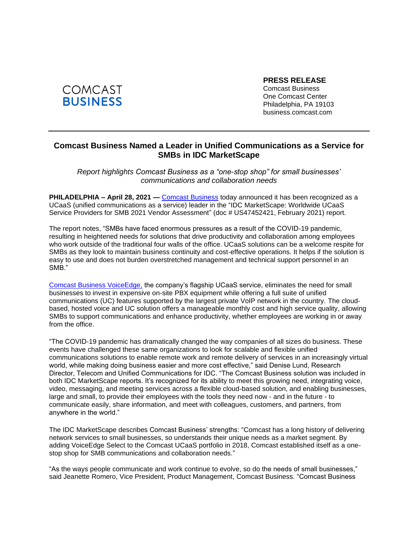

**PRESS RELEASE** Comcast Business One Comcast Center Philadelphia, PA 19103 business.comcast.com

## **Comcast Business Named a Leader in Unified Communications as a Service for SMBs in IDC MarketScape**

*Report highlights Comcast Business as a "one-stop shop" for small businesses' communications and collaboration needs* 

**PHILADELPHIA – April 28, 2021 —** [Comcast Business](https://business.comcast.com/enterprise/products-services/activecore-software-defined-networking/sd-wan) today announced it has been recognized as a UCaaS (unified communications as a service) leader in the "IDC MarketScape: Worldwide UCaaS Service Providers for SMB 2021 Vendor Assessment" (doc # US47452421, February 2021) report.

The report notes, "SMBs have faced enormous pressures as a result of the COVID-19 pandemic, resulting in heightened needs for solutions that drive productivity and collaboration among employees who work outside of the traditional four walls of the office. UCaaS solutions can be a welcome respite for SMBs as they look to maintain business continuity and cost-effective operations. It helps if the solution is easy to use and does not burden overstretched management and technical support personnel in an SMB."

[Comcast Business VoiceEdge,](https://business.comcast.com/enterprise/voice/voiceedge) the company's flagship UCaaS service, eliminates the need for small businesses to invest in expensive on-site PBX equipment while offering a full suite of unified communications (UC) features supported by the largest private VoIP network in the country. The cloudbased, hosted voice and UC solution offers a manageable monthly cost and high service quality, allowing SMBs to support communications and enhance productivity, whether employees are working in or away from the office.

"The COVID-19 pandemic has dramatically changed the way companies of all sizes do business. These events have challenged these same organizations to look for scalable and flexible unified communications solutions to enable remote work and remote delivery of services in an increasingly virtual world, while making doing business easier and more cost effective," said Denise Lund, Research Director, Telecom and Unified Communications for IDC. "The Comcast Business solution was included in both IDC MarketScape reports. It's recognized for its ability to meet this growing need, integrating voice, video, messaging, and meeting services across a flexible cloud-based solution, and enabling businesses, large and small, to provide their employees with the tools they need now - and in the future - to communicate easily, share information, and meet with colleagues, customers, and partners, from anywhere in the world."

The IDC MarketScape describes Comcast Business' strengths: "Comcast has a long history of delivering network services to small businesses, so understands their unique needs as a market segment. By adding VoiceEdge Select to the Comcast UCaaS portfolio in 2018, Comcast established itself as a onestop shop for SMB communications and collaboration needs."

"As the ways people communicate and work continue to evolve, so do the needs of small businesses," said Jeanette Romero, Vice President, Product Management, Comcast Business. "Comcast Business